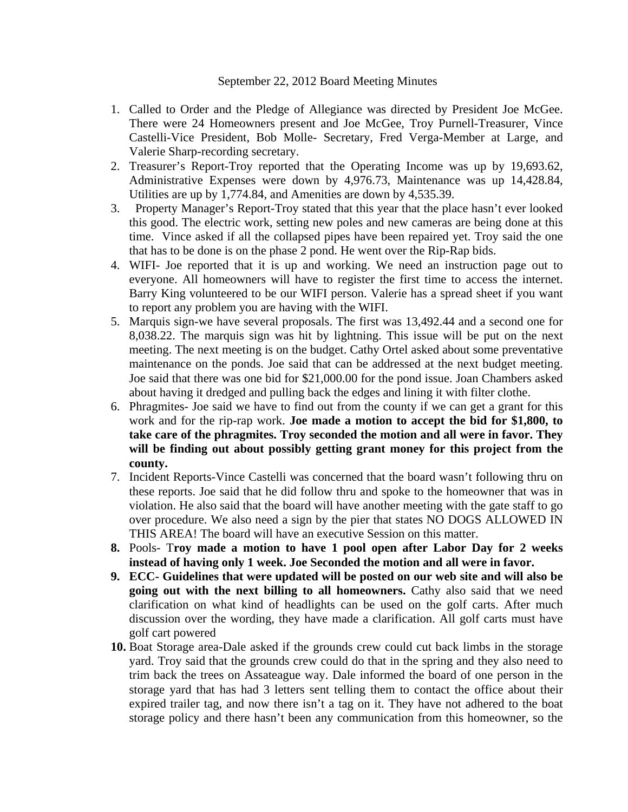## September 22, 2012 Board Meeting Minutes

- 1. Called to Order and the Pledge of Allegiance was directed by President Joe McGee. There were 24 Homeowners present and Joe McGee, Troy Purnell-Treasurer, Vince Castelli-Vice President, Bob Molle- Secretary, Fred Verga-Member at Large, and Valerie Sharp-recording secretary.
- 2. Treasurer's Report-Troy reported that the Operating Income was up by 19,693.62, Administrative Expenses were down by 4,976.73, Maintenance was up 14,428.84, Utilities are up by 1,774.84, and Amenities are down by 4,535.39.
- 3. Property Manager's Report-Troy stated that this year that the place hasn't ever looked this good. The electric work, setting new poles and new cameras are being done at this time. Vince asked if all the collapsed pipes have been repaired yet. Troy said the one that has to be done is on the phase 2 pond. He went over the Rip-Rap bids.
- 4. WIFI- Joe reported that it is up and working. We need an instruction page out to everyone. All homeowners will have to register the first time to access the internet. Barry King volunteered to be our WIFI person. Valerie has a spread sheet if you want to report any problem you are having with the WIFI.
- 5. Marquis sign-we have several proposals. The first was 13,492.44 and a second one for 8,038.22. The marquis sign was hit by lightning. This issue will be put on the next meeting. The next meeting is on the budget. Cathy Ortel asked about some preventative maintenance on the ponds. Joe said that can be addressed at the next budget meeting. Joe said that there was one bid for \$21,000.00 for the pond issue. Joan Chambers asked about having it dredged and pulling back the edges and lining it with filter clothe.
- 6. Phragmites- Joe said we have to find out from the county if we can get a grant for this work and for the rip-rap work. **Joe made a motion to accept the bid for \$1,800, to take care of the phragmites. Troy seconded the motion and all were in favor. They will be finding out about possibly getting grant money for this project from the county.**
- 7. Incident Reports-Vince Castelli was concerned that the board wasn't following thru on these reports. Joe said that he did follow thru and spoke to the homeowner that was in violation. He also said that the board will have another meeting with the gate staff to go over procedure. We also need a sign by the pier that states NO DOGS ALLOWED IN THIS AREA! The board will have an executive Session on this matter.
- **8.** Pools- T**roy made a motion to have 1 pool open after Labor Day for 2 weeks instead of having only 1 week. Joe Seconded the motion and all were in favor.**
- **9. ECC- Guidelines that were updated will be posted on our web site and will also be going out with the next billing to all homeowners.** Cathy also said that we need clarification on what kind of headlights can be used on the golf carts. After much discussion over the wording, they have made a clarification. All golf carts must have golf cart powered
- **10.** Boat Storage area-Dale asked if the grounds crew could cut back limbs in the storage yard. Troy said that the grounds crew could do that in the spring and they also need to trim back the trees on Assateague way. Dale informed the board of one person in the storage yard that has had 3 letters sent telling them to contact the office about their expired trailer tag, and now there isn't a tag on it. They have not adhered to the boat storage policy and there hasn't been any communication from this homeowner, so the